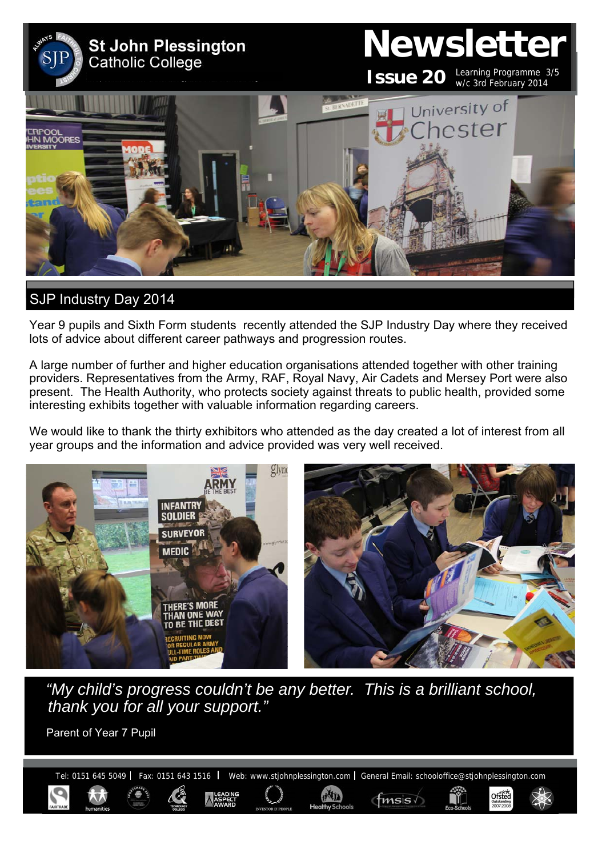

# SJP Industry Day 2014

Year 9 pupils and Sixth Form students recently attended the SJP Industry Day where they received lots of advice about different career pathways and progression routes.

A large number of further and higher education organisations attended together with other training providers. Representatives from the Army, RAF, Royal Navy, Air Cadets and Mersey Port were also present. The Health Authority, who protects society against threats to public health, provided some interesting exhibits together with valuable information regarding careers.

We would like to thank the thirty exhibitors who attended as the day created a lot of interest from all year groups and the information and advice provided was very well received.



*"My child's progress couldn't be any better. This is a brilliant school, thank you for all your support."* 

Parent of Year 7 Pupil

Tel: 0151 645 5049 | Fax: 0151 643 1516 | Web: www.stjohnplessington.com | General Email: schooloffice@stjohnplessington.com

**HATTA** 

 $f$ msis $\sqrt{ }$ 

Ofsted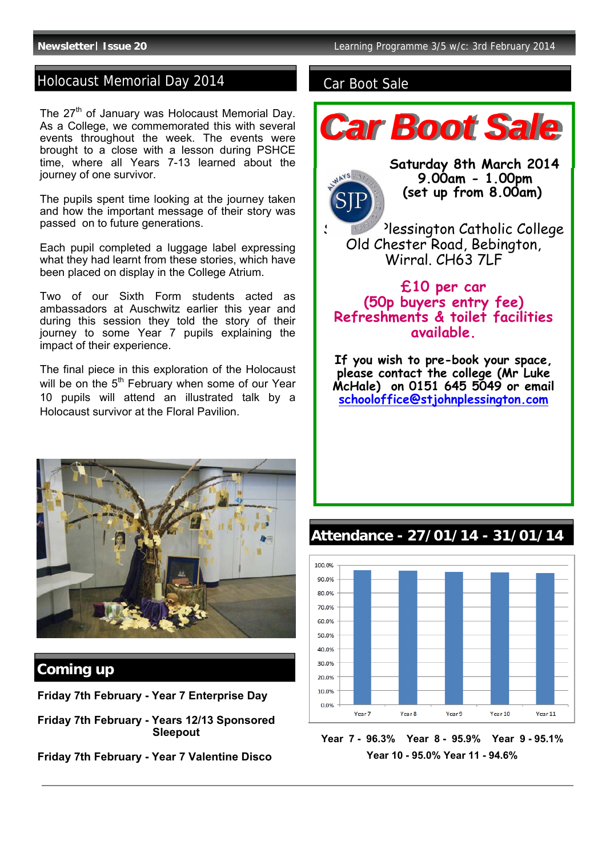## Holocaust Memorial Day 2014 Car Boot Sale

The  $27<sup>th</sup>$  of January was Holocaust Memorial Day. As a College, we commemorated this with several events throughout the week. The events were brought to a close with a lesson during PSHCE time, where all Years 7-13 learned about the journey of one survivor.

The pupils spent time looking at the journey taken and how the important message of their story was passed on to future generations.

Each pupil completed a luggage label expressing what they had learnt from these stories, which have been placed on display in the College Atrium.

Two of our Sixth Form students acted as ambassadors at Auschwitz earlier this year and during this session they told the story of their journey to some Year 7 pupils explaining the impact of their experience.

The final piece in this exploration of the Holocaust will be on the  $5<sup>th</sup>$  February when some of our Year 10 pupils will attend an illustrated talk by a Holocaust survivor at the Floral Pavilion.



## **Coming up**

**Friday 7th February - Year 7 Enterprise Day** 

**Friday 7th February - Years 12/13 Sponsored Sleepout** 

**Friday 7th February - Year 7 Valentine Disco** 



#### 100.0% 90.0% 80.0% 70.0% 60.0% 50.0% 40.0% 30.0% 20.0% 10.0% 0.0% Year 7 Year 8 Year 9 Year 10 Year 11

**Year 7 - 96.3% Year 8 - 95.9% Year 9 - 95.1% Year 10 - 95.0% Year 11 - 94.6%** 

# **Attendance - 27/01/14 - 31/01/14**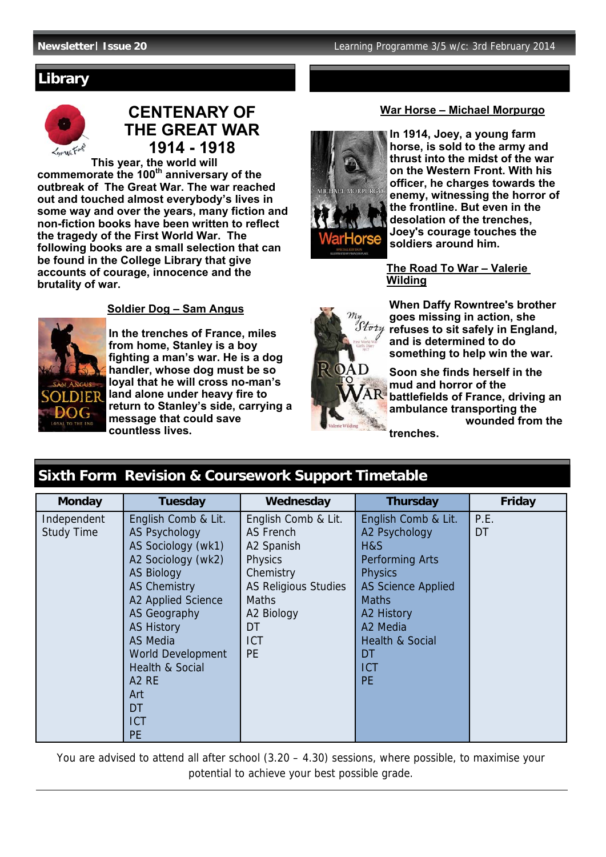## **Library**



# **CENTENARY OF THE GREAT WAR 1914 - 1918**

**This year, the world will commemorate the 100th anniversary of the outbreak of The Great War. The war reached out and touched almost everybody's lives in some way and over the years, many fiction and non-fiction books have been written to reflect the tragedy of the First World War. The following books are a small selection that can be found in the College Library that give accounts of courage, innocence and the brutality of war.** 



 **Soldier Dog – Sam Angus** 

**In the trenches of France, miles from home, Stanley is a boy fighting a man's war. He is a dog handler, whose dog must be so loyal that he will cross no-man's land alone under heavy fire to return to Stanley's side, carrying a message that could save countless lives.** 



**In 1914, Joey, a young farm horse, is sold to the army and thrust into the midst of the war on the Western Front. With his officer, he charges towards the enemy, witnessing the horror of the frontline. But even in the desolation of the trenches, Joey's courage touches the soldiers around him.** 

 **The Road To War – Valerie Wilding** 



**When Daffy Rowntree's brother goes missing in action, she refuses to sit safely in England, and is determined to do something to help win the war.** 

**Soon she finds herself in the mud and horror of the battlefields of France, driving an ambulance transporting the wounded from the trenches.**

# **Sixth Form Revision & Coursework Support Timetable**

| <b>Monday</b>     | <b>Tuesday</b>             | Wednesday                   | <b>Thursday</b>            | Friday |
|-------------------|----------------------------|-----------------------------|----------------------------|--------|
| Independent       | English Comb & Lit.        | English Comb & Lit.         | English Comb & Lit.        | P.E.   |
| <b>Study Time</b> | <b>AS Psychology</b>       | AS French                   | A2 Psychology              | DT     |
|                   | AS Sociology (wk1)         | A2 Spanish                  | H&S                        |        |
|                   | A2 Sociology (wk2)         | <b>Physics</b>              | <b>Performing Arts</b>     |        |
|                   | <b>AS Biology</b>          | Chemistry                   | <b>Physics</b>             |        |
|                   | <b>AS Chemistry</b>        | <b>AS Religious Studies</b> | <b>AS Science Applied</b>  |        |
|                   | A2 Applied Science         | <b>Maths</b>                | <b>Maths</b>               |        |
|                   | <b>AS Geography</b>        | A2 Biology                  | A2 History                 |        |
|                   | <b>AS History</b>          | DT                          | A2 Media                   |        |
|                   | <b>AS Media</b>            | <b>ICT</b>                  | <b>Health &amp; Social</b> |        |
|                   | World Development          | <b>PE</b>                   | DT                         |        |
|                   | <b>Health &amp; Social</b> |                             | <b>ICT</b>                 |        |
|                   | A <sub>2</sub> RE          |                             | <b>PE</b>                  |        |
|                   | Art                        |                             |                            |        |
|                   | DT                         |                             |                            |        |
|                   | <b>ICT</b>                 |                             |                            |        |
|                   | <b>PE</b>                  |                             |                            |        |

You are advised to attend all after school  $(3.20 - 4.30)$  sessions, where possible, to maximise your potential to achieve your best possible grade.

#### **War Horse – Michael Morpurgo**